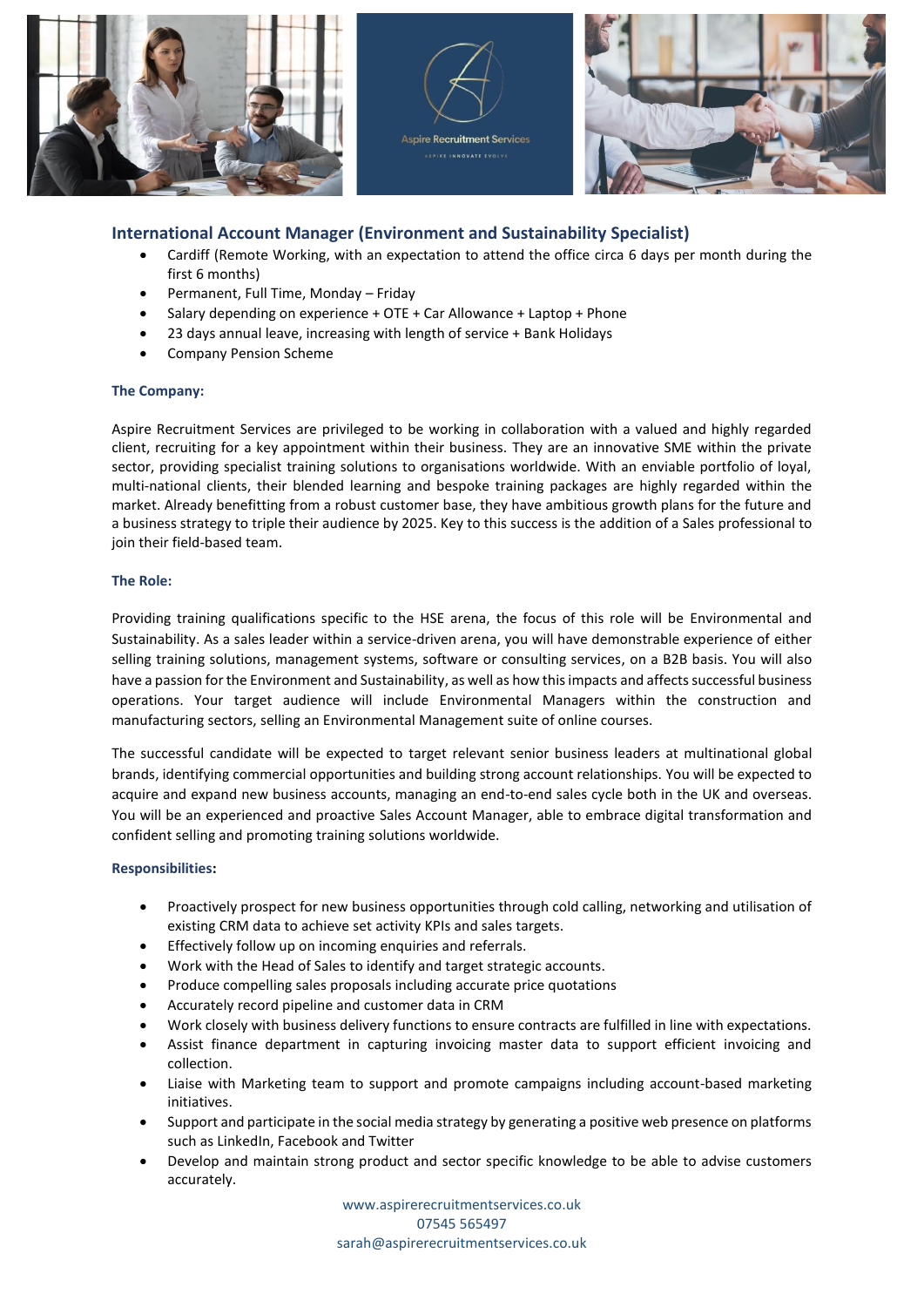

# **International Account Manager (Environment and Sustainability Specialist)**

- Cardiff (Remote Working, with an expectation to attend the office circa 6 days per month during the first 6 months)
- Permanent, Full Time, Monday Friday
- Salary depending on experience + OTE + Car Allowance + Laptop + Phone
- 23 days annual leave, increasing with length of service + Bank Holidays
- Company Pension Scheme

## **The Company:**

Aspire Recruitment Services are privileged to be working in collaboration with a valued and highly regarded client, recruiting for a key appointment within their business. They are an innovative SME within the private sector, providing specialist training solutions to organisations worldwide. With an enviable portfolio of loyal, multi-national clients, their blended learning and bespoke training packages are highly regarded within the market. Already benefitting from a robust customer base, they have ambitious growth plans for the future and a business strategy to triple their audience by 2025. Key to this success is the addition of a Sales professional to join their field-based team.

### **The Role:**

Providing training qualifications specific to the HSE arena, the focus of this role will be Environmental and Sustainability. As a sales leader within a service-driven arena, you will have demonstrable experience of either selling training solutions, management systems, software or consulting services, on a B2B basis. You will also have a passion for the Environment and Sustainability, as well as how thisimpacts and affects successful business operations. Your target audience will include Environmental Managers within the construction and manufacturing sectors, selling an Environmental Management suite of online courses.

The successful candidate will be expected to target relevant senior business leaders at multinational global brands, identifying commercial opportunities and building strong account relationships. You will be expected to acquire and expand new business accounts, managing an end-to-end sales cycle both in the UK and overseas. You will be an experienced and proactive Sales Account Manager, able to embrace digital transformation and confident selling and promoting training solutions worldwide.

## **Responsibilities:**

- Proactively prospect for new business opportunities through cold calling, networking and utilisation of existing CRM data to achieve set activity KPIs and sales targets.
- Effectively follow up on incoming enquiries and referrals.
- Work with the Head of Sales to identify and target strategic accounts.
- Produce compelling sales proposals including accurate price quotations
- Accurately record pipeline and customer data in CRM
- Work closely with business delivery functions to ensure contracts are fulfilled in line with expectations.
- Assist finance department in capturing invoicing master data to support efficient invoicing and collection.
- Liaise with Marketing team to support and promote campaigns including account-based marketing initiatives.
- Support and participate in the social media strategy by generating a positive web presence on platforms such as LinkedIn, Facebook and Twitter
- Develop and maintain strong product and sector specific knowledge to be able to advise customers accurately.

www.aspirerecruitmentservices.co.uk 07545 565497 [sarah@aspirerecruitmentservices.co.uk](mailto:sarah@aspirerecruitmentservices.co.uk)